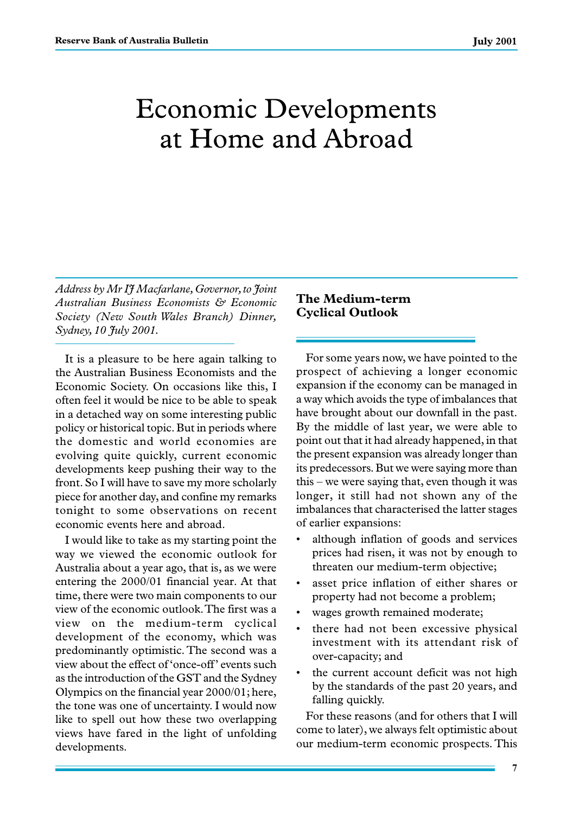# Economic Developments at Home and Abroad

*Address by Mr IJ Macfarlane, Governor, to Joint Australian Business Economists & Economic Society (New South Wales Branch) Dinner, Sydney, 10 July 2001.*

It is a pleasure to be here again talking to the Australian Business Economists and the Economic Society. On occasions like this, I often feel it would be nice to be able to speak in a detached way on some interesting public policy or historical topic. But in periods where the domestic and world economies are evolving quite quickly, current economic developments keep pushing their way to the front. So I will have to save my more scholarly piece for another day, and confine my remarks tonight to some observations on recent economic events here and abroad.

I would like to take as my starting point the way we viewed the economic outlook for Australia about a year ago, that is, as we were entering the 2000/01 financial year. At that time, there were two main components to our view of the economic outlook. The first was a view on the medium-term cyclical development of the economy, which was predominantly optimistic. The second was a view about the effect of 'once-off' events such as the introduction of the GST and the Sydney Olympics on the financial year 2000/01; here, the tone was one of uncertainty. I would now like to spell out how these two overlapping views have fared in the light of unfolding developments.

## **The Medium-term Cyclical Outlook**

For some years now, we have pointed to the prospect of achieving a longer economic expansion if the economy can be managed in a way which avoids the type of imbalances that have brought about our downfall in the past. By the middle of last year, we were able to point out that it had already happened, in that the present expansion was already longer than its predecessors. But we were saying more than this – we were saying that, even though it was longer, it still had not shown any of the imbalances that characterised the latter stages of earlier expansions:

- although inflation of goods and services prices had risen, it was not by enough to threaten our medium-term objective;
- asset price inflation of either shares or property had not become a problem;
- wages growth remained moderate;
- there had not been excessive physical investment with its attendant risk of over-capacity; and
- the current account deficit was not high by the standards of the past 20 years, and falling quickly.

For these reasons (and for others that I will come to later), we always felt optimistic about our medium-term economic prospects. This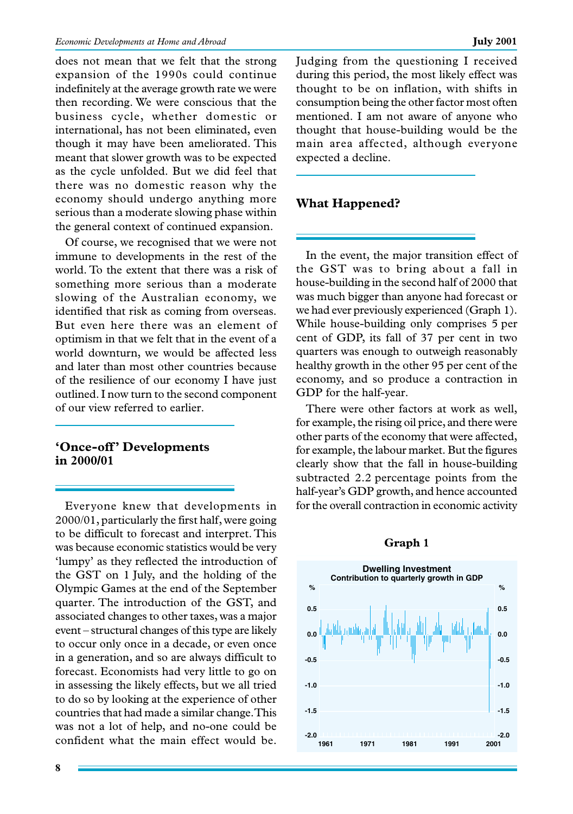does not mean that we felt that the strong expansion of the 1990s could continue indefinitely at the average growth rate we were then recording. We were conscious that the business cycle, whether domestic or international, has not been eliminated, even though it may have been ameliorated. This meant that slower growth was to be expected as the cycle unfolded. But we did feel that there was no domestic reason why the economy should undergo anything more serious than a moderate slowing phase within the general context of continued expansion.

Of course, we recognised that we were not immune to developments in the rest of the world. To the extent that there was a risk of something more serious than a moderate slowing of the Australian economy, we identified that risk as coming from overseas. But even here there was an element of optimism in that we felt that in the event of a world downturn, we would be affected less and later than most other countries because of the resilience of our economy I have just outlined. I now turn to the second component of our view referred to earlier.

## **'Once-off' Developments in 2000/01**

Everyone knew that developments in 2000/01, particularly the first half, were going to be difficult to forecast and interpret. This was because economic statistics would be very 'lumpy' as they reflected the introduction of the GST on 1 July, and the holding of the Olympic Games at the end of the September quarter. The introduction of the GST, and associated changes to other taxes, was a major event – structural changes of this type are likely to occur only once in a decade, or even once in a generation, and so are always difficult to forecast. Economists had very little to go on in assessing the likely effects, but we all tried to do so by looking at the experience of other countries that had made a similar change. This was not a lot of help, and no-one could be confident what the main effect would be. Judging from the questioning I received during this period, the most likely effect was thought to be on inflation, with shifts in consumption being the other factor most often mentioned. I am not aware of anyone who thought that house-building would be the main area affected, although everyone expected a decline.

## **What Happened?**

In the event, the major transition effect of the GST was to bring about a fall in house-building in the second half of 2000 that was much bigger than anyone had forecast or we had ever previously experienced (Graph 1). While house-building only comprises 5 per cent of GDP, its fall of 37 per cent in two quarters was enough to outweigh reasonably healthy growth in the other 95 per cent of the economy, and so produce a contraction in GDP for the half-year.

There were other factors at work as well, for example, the rising oil price, and there were other parts of the economy that were affected, for example, the labour market. But the figures clearly show that the fall in house-building subtracted 2.2 percentage points from the half-year's GDP growth, and hence accounted for the overall contraction in economic activity

#### **Graph 1**

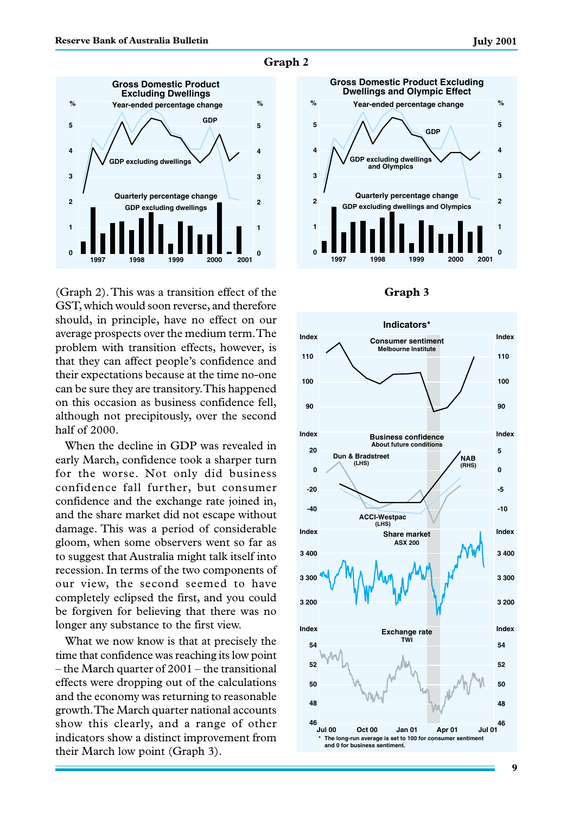

**Graph 2**

(Graph 2). This was a transition effect of the GST, which would soon reverse, and therefore should, in principle, have no effect on our average prospects over the medium term. The problem with transition effects, however, is that they can affect people's confidence and their expectations because at the time no-one can be sure they are transitory. This happened on this occasion as business confidence fell, although not precipitously, over the second half of 2000.

When the decline in GDP was revealed in early March, confidence took a sharper turn for the worse. Not only did business confidence fall further, but consumer confidence and the exchange rate joined in, and the share market did not escape without damage. This was a period of considerable gloom, when some observers went so far as to suggest that Australia might talk itself into recession. In terms of the two components of our view, the second seemed to have completely eclipsed the first, and you could be forgiven for believing that there was no longer any substance to the first view.

What we now know is that at precisely the time that confidence was reaching its low point – the March quarter of 2001 – the transitional effects were dropping out of the calculations and the economy was returning to reasonable growth. The March quarter national accounts show this clearly, and a range of other indicators show a distinct improvement from their March low point (Graph 3).



#### **Graph 3**

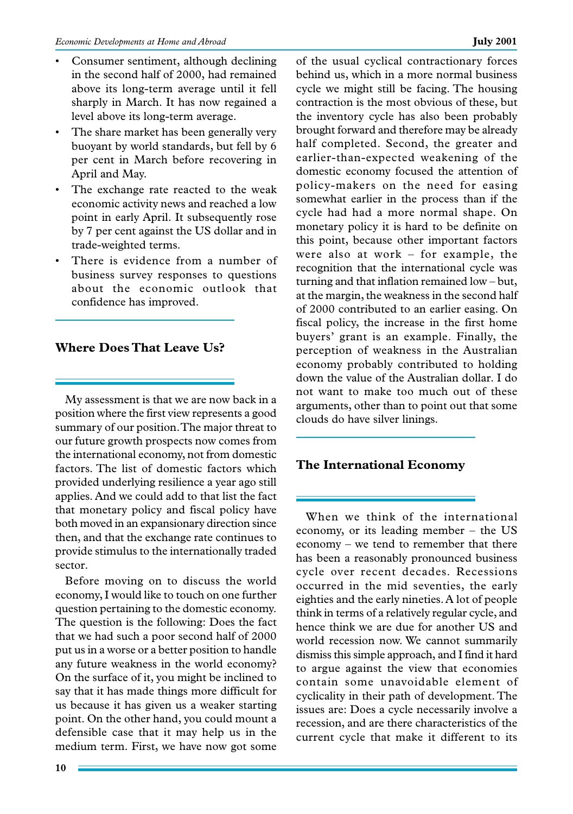- Consumer sentiment, although declining in the second half of 2000, had remained above its long-term average until it fell sharply in March. It has now regained a level above its long-term average.
- The share market has been generally very buoyant by world standards, but fell by 6 per cent in March before recovering in April and May.
- The exchange rate reacted to the weak economic activity news and reached a low point in early April. It subsequently rose by 7 per cent against the US dollar and in trade-weighted terms.
- There is evidence from a number of business survey responses to questions about the economic outlook that confidence has improved.

## **Where Does That Leave Us?**

My assessment is that we are now back in a position where the first view represents a good summary of our position. The major threat to our future growth prospects now comes from the international economy, not from domestic factors. The list of domestic factors which provided underlying resilience a year ago still applies. And we could add to that list the fact that monetary policy and fiscal policy have both moved in an expansionary direction since then, and that the exchange rate continues to provide stimulus to the internationally traded sector.

Before moving on to discuss the world economy, I would like to touch on one further question pertaining to the domestic economy. The question is the following: Does the fact that we had such a poor second half of 2000 put us in a worse or a better position to handle any future weakness in the world economy? On the surface of it, you might be inclined to say that it has made things more difficult for us because it has given us a weaker starting point. On the other hand, you could mount a defensible case that it may help us in the medium term. First, we have now got some of the usual cyclical contractionary forces behind us, which in a more normal business cycle we might still be facing. The housing contraction is the most obvious of these, but the inventory cycle has also been probably brought forward and therefore may be already half completed. Second, the greater and earlier-than-expected weakening of the domestic economy focused the attention of policy-makers on the need for easing somewhat earlier in the process than if the cycle had had a more normal shape. On monetary policy it is hard to be definite on this point, because other important factors were also at work – for example, the recognition that the international cycle was turning and that inflation remained low – but, at the margin, the weakness in the second half of 2000 contributed to an earlier easing. On fiscal policy, the increase in the first home buyers' grant is an example. Finally, the perception of weakness in the Australian economy probably contributed to holding down the value of the Australian dollar. I do not want to make too much out of these arguments, other than to point out that some clouds do have silver linings.

## **The International Economy**

When we think of the international economy, or its leading member – the US economy – we tend to remember that there has been a reasonably pronounced business cycle over recent decades. Recessions occurred in the mid seventies, the early eighties and the early nineties. A lot of people think in terms of a relatively regular cycle, and hence think we are due for another US and world recession now. We cannot summarily dismiss this simple approach, and I find it hard to argue against the view that economies contain some unavoidable element of cyclicality in their path of development. The issues are: Does a cycle necessarily involve a recession, and are there characteristics of the current cycle that make it different to its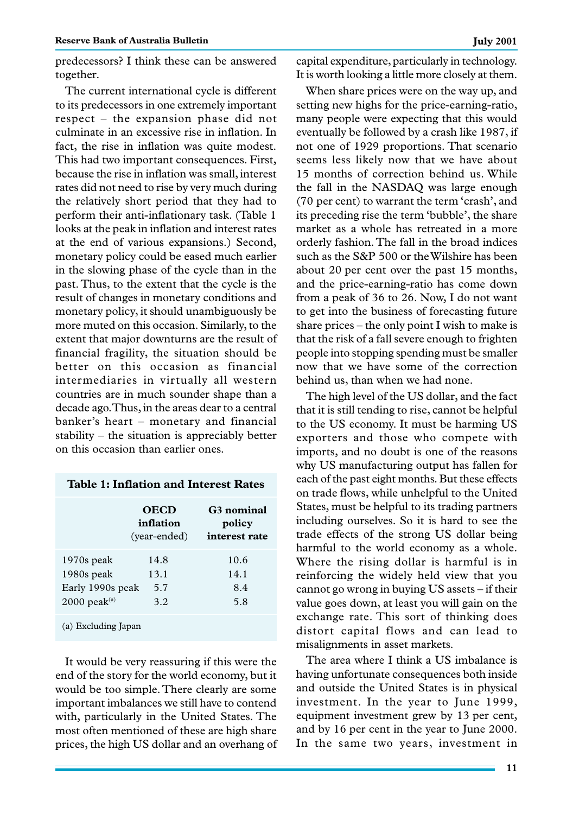predecessors? I think these can be answered together.

The current international cycle is different to its predecessors in one extremely important respect – the expansion phase did not culminate in an excessive rise in inflation. In fact, the rise in inflation was quite modest. This had two important consequences. First, because the rise in inflation was small, interest rates did not need to rise by very much during the relatively short period that they had to perform their anti-inflationary task. (Table 1 looks at the peak in inflation and interest rates at the end of various expansions.) Second, monetary policy could be eased much earlier in the slowing phase of the cycle than in the past. Thus, to the extent that the cycle is the result of changes in monetary conditions and monetary policy, it should unambiguously be more muted on this occasion. Similarly, to the extent that major downturns are the result of financial fragility, the situation should be better on this occasion as financial intermediaries in virtually all western countries are in much sounder shape than a decade ago. Thus, in the areas dear to a central banker's heart – monetary and financial stability – the situation is appreciably better on this occasion than earlier ones.

## **Table 1: Inflation and Interest Rates**

|                                                                              | <b>OECD</b><br>inflation<br>(vear-ended) | G <sub>3</sub> nominal<br>policy<br>interest rate |
|------------------------------------------------------------------------------|------------------------------------------|---------------------------------------------------|
| $1970s$ peak<br>1980s peak<br>Early 1990s peak<br>$2000$ peak <sup>(a)</sup> | 14.8<br>13.1<br>5.7<br>3.2               | 10.6<br>14.1<br>8.4<br>5.8                        |
| (a) Excluding Japan                                                          |                                          |                                                   |

It would be very reassuring if this were the end of the story for the world economy, but it would be too simple. There clearly are some important imbalances we still have to contend with, particularly in the United States. The most often mentioned of these are high share prices, the high US dollar and an overhang of capital expenditure, particularly in technology. It is worth looking a little more closely at them.

When share prices were on the way up, and setting new highs for the price-earning-ratio, many people were expecting that this would eventually be followed by a crash like 1987, if not one of 1929 proportions. That scenario seems less likely now that we have about 15 months of correction behind us. While the fall in the NASDAQ was large enough (70 per cent) to warrant the term 'crash', and its preceding rise the term 'bubble', the share market as a whole has retreated in a more orderly fashion. The fall in the broad indices such as the S&P 500 or the Wilshire has been about 20 per cent over the past 15 months, and the price-earning-ratio has come down from a peak of 36 to 26. Now, I do not want to get into the business of forecasting future share prices – the only point I wish to make is that the risk of a fall severe enough to frighten people into stopping spending must be smaller now that we have some of the correction behind us, than when we had none.

The high level of the US dollar, and the fact that it is still tending to rise, cannot be helpful to the US economy. It must be harming US exporters and those who compete with imports, and no doubt is one of the reasons why US manufacturing output has fallen for each of the past eight months. But these effects on trade flows, while unhelpful to the United States, must be helpful to its trading partners including ourselves. So it is hard to see the trade effects of the strong US dollar being harmful to the world economy as a whole. Where the rising dollar is harmful is in reinforcing the widely held view that you cannot go wrong in buying US assets – if their value goes down, at least you will gain on the exchange rate. This sort of thinking does distort capital flows and can lead to misalignments in asset markets.

The area where I think a US imbalance is having unfortunate consequences both inside and outside the United States is in physical investment. In the year to June 1999, equipment investment grew by 13 per cent, and by 16 per cent in the year to June 2000. In the same two years, investment in